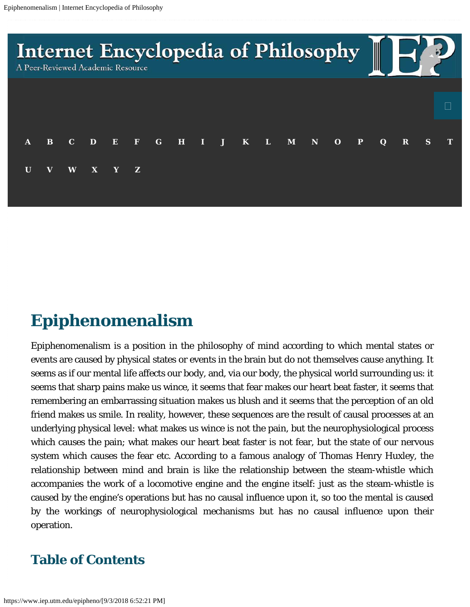

# **Epiphenomenalism**

Epiphenomenalism is a position in the philosophy of mind according to which mental states or events are caused by physical states or events in the brain but do not themselves cause anything. It *seems* as if our mental life affects our body, and, via our body, the physical world surrounding us: it seems that sharp pains make us wince, it seems that fear makes our heart beat faster, it seems that remembering an embarrassing situation makes us blush and it seems that the perception of an old friend makes us smile. In reality, however, these sequences are the result of causal processes at an underlying physical level: what makes us wince is not the pain, but the neurophysiological process which causes the pain; what makes our heart beat faster is not fear, but the state of our nervous system which causes the fear etc. According to a famous analogy of Thomas Henry Huxley, the relationship between mind and brain is like the relationship between the steam-whistle which accompanies the work of a locomotive engine and the engine itself: just as the steam-whistle is caused by the engine's operations but has no causal influence upon it, so too the mental is caused by the workings of neurophysiological mechanisms but has no causal influence upon their operation.

## **Table of Contents**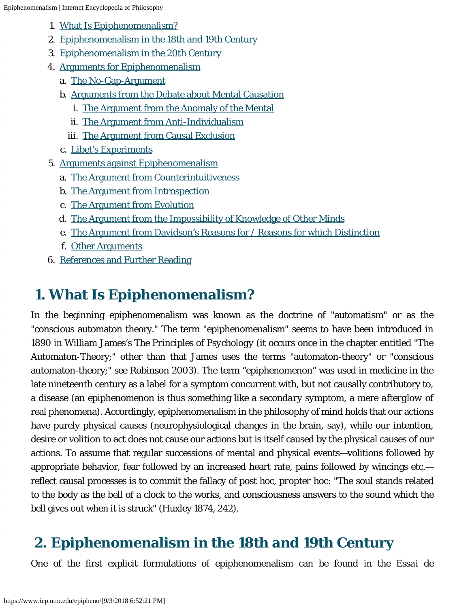- 1. [What Is Epiphenomenalism?](#page-1-0)
- 2. [Epiphenomenalism in the 18th and 19th Century](#page-1-1)
- 3. [Epiphenomenalism in the 20th Century](#page-3-0)
- 4. [Arguments for Epiphenomenalism](#page-4-0)
	- a. [The No-Gap-Argument](#page-4-1)
	- b. [Arguments from the Debate about Mental Causation](#page-5-0)
		- i. [The Argument from the Anomaly of the Mental](#page-5-1)
		- ii. [The Argument from Anti-Individualism](#page-7-0)
		- iii. [The Argument from Causal Exclusion](#page-9-0)
	- c. [Libet's Experiments](#page-10-0)
- 5. [Arguments against Epiphenomenalism](#page-11-0)
	- a. [The Argument from Counterintuitiveness](#page-11-1)
	- b. [The Argument from Introspection](#page-12-0)
	- c. [The Argument from Evolution](#page-12-1)
	- d. [The Argument from the Impossibility of Knowledge of Other Minds](#page-13-0)
	- e. [The Argument from Davidson's Reasons for / Reasons for which Distinction](#page-14-0)
	- f. [Other Arguments](#page-14-1)
- 6. [References and Further Reading](#page-16-0)

# <span id="page-1-0"></span> **1. What Is Epiphenomenalism?**

In the beginning epiphenomenalism was known as the doctrine of "automatism" or as the "conscious automaton theory." The term "epiphenomenalism" seems to have been introduced in 1890 in William James's *The Principles of Psychology* (it occurs once in the chapter entitled "The Automaton-Theory;" other than that James uses the terms "automaton-theory" or "conscious automaton-theory;" see Robinson 2003). The term "epiphenomenon" was used in medicine in the late nineteenth century as a label for a symptom concurrent with, but not causally contributory to, a disease (an epiphenomenon is thus something like a *secondary symptom*, a mere *afterglow* of real phenomena). Accordingly, epiphenomenalism in the philosophy of mind holds that our actions have purely physical causes (neurophysiological changes in the brain, say), while our intention, desire or volition to act does not cause our actions but is itself caused by the physical causes of our actions. To assume that regular successions of mental and physical events—volitions followed by appropriate behavior, fear followed by an increased heart rate, pains followed by wincings etc. reflect causal processes is to commit the fallacy of *post hoc, propter hoc*: "The soul stands related to the body as the bell of a clock to the works, and consciousness answers to the sound which the bell gives out when it is struck" (Huxley 1874, 242).

# <span id="page-1-1"></span> **2. Epiphenomenalism in the 18th and 19th Century**

One of the first explicit formulations of epiphenomenalism can be found in the *Essai de*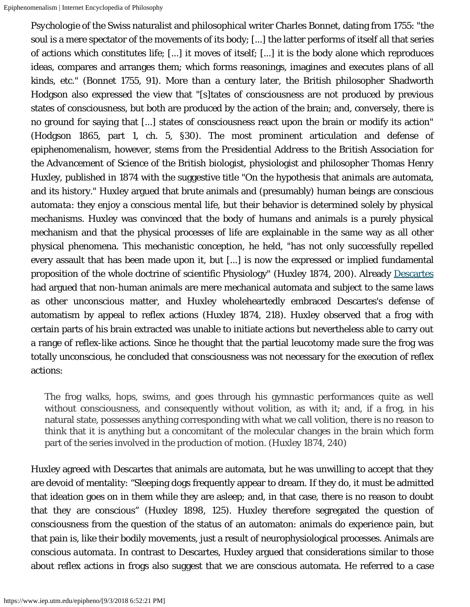*Psychologie* of the Swiss naturalist and philosophical writer Charles Bonnet, dating from 1755: "the soul is a mere spectator of the movements of its body; [...] the latter performs of itself all that series of actions which constitutes life; [...] it moves of itself; [...] it is the body alone which reproduces ideas, compares and arranges them; which forms reasonings, imagines and executes plans of all kinds, etc." (Bonnet 1755, 91). More than a century later, the British philosopher Shadworth Hodgson also expressed the view that "[s]tates of consciousness are not produced by previous states of consciousness, but both are produced by the action of the brain; and, conversely, there is no ground for saying that [...] states of consciousness react upon the brain or modify its action" (Hodgson 1865, part 1, ch. 5, §30). The most prominent articulation and defense of epiphenomenalism, however, stems from the *Presidential Address to the British Association for the Advancement of Science* of the British biologist, physiologist and philosopher Thomas Henry Huxley, published in 1874 with the suggestive title "On the hypothesis that animals are automata, and its history." Huxley argued that brute animals and (presumably) human beings are *conscious automata*: they enjoy a conscious mental life, but their behavior is determined solely by physical mechanisms. Huxley was convinced that the body of humans and animals is a purely physical mechanism and that the physical processes of life are explainable in the same way as all other physical phenomena. This mechanistic conception, he held, "has not only successfully repelled every assault that has been made upon it, but [...] is now the expressed or implied fundamental proposition of the whole doctrine of scientific Physiology" (Huxley 1874, 200). Already [Descartes](https://www.iep.utm.edu/descarte) had argued that non-human animals are mere mechanical automata and subject to the same laws as other unconscious matter, and Huxley wholeheartedly embraced Descartes's defense of automatism by appeal to reflex actions (Huxley 1874, 218). Huxley observed that a frog with certain parts of his brain extracted was unable to initiate actions but nevertheless able to carry out a range of reflex-like actions. Since he thought that the partial leucotomy made sure the frog was totally unconscious, he concluded that consciousness was not necessary for the execution of reflex actions:

The frog walks, hops, swims, and goes through his gymnastic performances quite as well without consciousness, and consequently without volition, as with it; and, if a frog, in his natural state, possesses anything corresponding with what we call volition, there is no reason to think that it is anything but a concomitant of the molecular changes in the brain which form part of the series involved in the production of motion. (Huxley 1874, 240)

Huxley agreed with Descartes that animals are automata, but he was unwilling to accept that they are devoid of mentality: "Sleeping dogs frequently appear to dream. If they do, it must be admitted that ideation goes on in them while they are asleep; and, in that case, there is no reason to doubt that they are conscious" (Huxley 1898, 125). Huxley therefore segregated the question of consciousness from the question of the status of an automaton: animals *do* experience pain, but that pain is, like their bodily movements, just a result of neurophysiological processes. Animals are *conscious automata*. In contrast to Descartes, Huxley argued that considerations similar to those about reflex actions in frogs also suggest that we are conscious automata. He referred to a case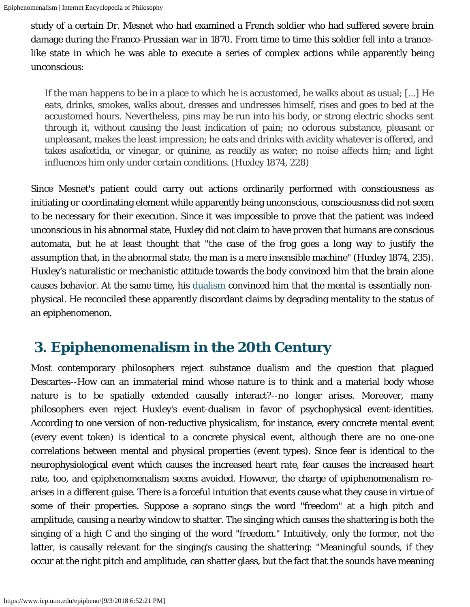study of a certain Dr. Mesnet who had examined a French soldier who had suffered severe brain damage during the Franco-Prussian war in 1870. From time to time this soldier fell into a trancelike state in which he was able to execute a series of complex actions while apparently being unconscious:

If the man happens to be in a place to which he is accustomed, he walks about as usual; [...] He eats, drinks, smokes, walks about, dresses and undresses himself, rises and goes to bed at the accustomed hours. Nevertheless, pins may be run into his body, or strong electric shocks sent through it, without causing the least indication of pain; no odorous substance, pleasant or unpleasant, makes the least impression; he eats and drinks with avidity whatever is offered, and takes asafœtida, or vinegar, or quinine, as readily as water; no noise affects him; and light influences him only under certain conditions. (Huxley 1874, 228)

Since Mesnet's patient could carry out actions ordinarily performed with consciousness as initiating or coordinating element while apparently being unconscious, consciousness did not seem to be necessary for their execution. Since it was impossible to prove that the patient was indeed unconscious in his abnormal state, Huxley did not claim to have *proven* that humans are conscious automata, but he at least thought that "the case of the frog goes a long way to justify the assumption that, in the abnormal state, the man is a mere insensible machine" (Huxley 1874, 235). Huxley's naturalistic or mechanistic attitude towards the body convinced him that the brain alone causes behavior. At the same time, his [dualism](https://www.iep.utm.edu/dualism) convinced him that the mental is essentially nonphysical. He reconciled these apparently discordant claims by degrading mentality to the status of an epiphenomenon.

# <span id="page-3-0"></span> **3. Epiphenomenalism in the 20th Century**

Most contemporary philosophers reject substance dualism and the question that plagued Descartes--How can an immaterial mind whose nature is to think and a material body whose nature is to be spatially extended causally interact?--no longer arises. Moreover, many philosophers even reject Huxley's event-dualism in favor of psychophysical event-identities. According to one version of non-reductive physicalism, for instance, every concrete mental event (every *event token*) is identical to a concrete physical event, although there are no one-one correlations between mental and physical properties (*event types*). Since fear is identical to the neurophysiological event which causes the increased heart rate, fear causes the increased heart rate, too, and epiphenomenalism seems avoided. However, the charge of epiphenomenalism rearises in a different guise. There is a forceful intuition that events cause what they cause in virtue of some of their properties. Suppose a soprano sings the word "freedom" at a high pitch and amplitude, causing a nearby window to shatter. The singing which causes the shattering is both the singing of a high C and the singing of the word "freedom." Intuitively, only the former, not the latter, is causally relevant for the singing's causing the shattering: "Meaningful sounds, if they occur at the right pitch and amplitude, can shatter glass, but the fact that the sounds have meaning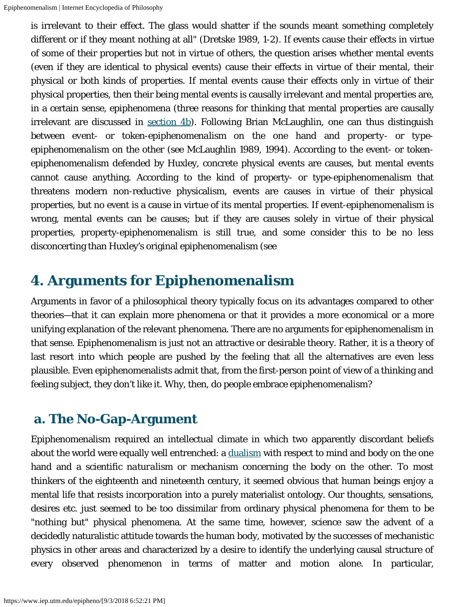is irrelevant to their effect. The glass would shatter if the sounds meant something completely different or if they meant nothing at all" (Dretske 1989, 1-2). If events cause their effects in virtue of some of their properties but not in virtue of others, the question arises whether mental events (even if they are identical to physical events) cause their effects in virtue of their mental, their physical or both kinds of properties. If mental events cause their effects only in virtue of their physical properties, then their being mental events is causally irrelevant and mental properties are, in a certain sense, epiphenomena (three reasons for thinking that mental properties are causally irrelevant are discussed in [section 4b](#page-5-0)). Following Brian McLaughlin, one can thus distinguish between *event*- or *token-epiphenomenalism* on the one hand and *property*- or *typeepiphenomenalism* on the other (see McLaughlin 1989, 1994). According to the event- or tokenepiphenomenalism defended by Huxley, concrete physical events are causes, but mental events cannot cause anything. According to the kind of property- or type-epiphenomenalism that threatens modern non-reductive physicalism, events are causes in virtue of their physical properties, but no event is a cause in virtue of its mental properties. If event-epiphenomenalism is wrong, mental events can be causes; but if they are causes solely in virtue of their physical properties, property-epiphenomenalism is still true, and some consider this to be no less disconcerting than Huxley's original epiphenomenalism (see

# <span id="page-4-0"></span>**4. Arguments for Epiphenomenalism**

Arguments in favor of a philosophical theory typically focus on its advantages compared to other theories—that it can explain more phenomena or that it provides a more economical or a more unifying explanation of the relevant phenomena. There are no arguments for epiphenomenalism in that sense. Epiphenomenalism is just not an attractive or desirable theory. Rather, it is a theory of last resort into which people are pushed by the feeling that all the alternatives are even less plausible. Even epiphenomenalists admit that, from the first-person point of view of a thinking and feeling subject, they don't like it. Why, then, do people embrace epiphenomenalism?

#### <span id="page-4-1"></span> **a. The No-Gap-Argument**

Epiphenomenalism required an intellectual climate in which two apparently discordant beliefs about the world were equally well entrenched: a [dualism](https://www.iep.utm.edu/dualism) with respect to mind and body on the one hand and a *scientific naturalism* or *mechanism* concerning the body on the other. To most thinkers of the eighteenth and nineteenth century, it seemed obvious that human beings enjoy a mental life that resists incorporation into a purely materialist ontology. Our thoughts, sensations, desires etc. just seemed to be too dissimilar from ordinary physical phenomena for them to be "nothing but" physical phenomena. At the same time, however, science saw the advent of a decidedly naturalistic attitude towards the human body, motivated by the successes of mechanistic physics in other areas and characterized by a desire to identify the underlying causal structure of every observed phenomenon in terms of matter and motion alone. In particular,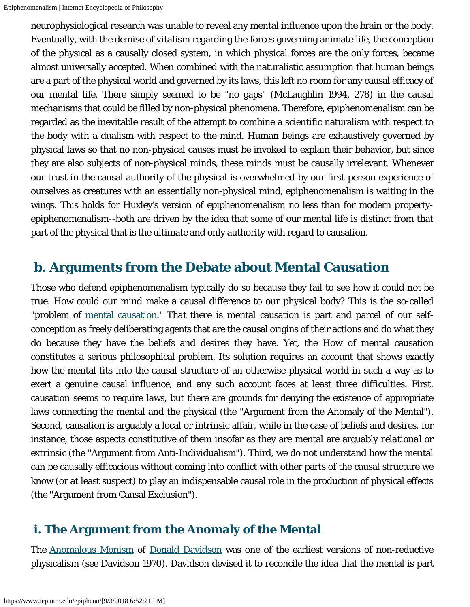neurophysiological research was unable to reveal any mental influence upon the brain or the body. Eventually, with the demise of *vitalism* regarding the forces governing animate life, the conception of the physical as a causally closed system, in which physical forces are the only forces, became almost universally accepted. When combined with the naturalistic assumption that human beings are a part of the physical world and governed by its laws, this left no room for any causal efficacy of our mental life. There simply seemed to be "no gaps" (McLaughlin 1994, 278) in the causal mechanisms that could be filled by non-physical phenomena. Therefore, epiphenomenalism can be regarded as the inevitable result of the attempt to combine a scientific naturalism with respect to the body with a dualism with respect to the mind. Human beings are exhaustively governed by physical laws so that no non-physical causes must be invoked to explain their behavior, but since they are also subjects of non-physical minds, these minds must be causally irrelevant. Whenever our trust in the causal authority of the physical is overwhelmed by our first-person experience of ourselves as creatures with an essentially non-physical mind, epiphenomenalism is waiting in the wings. This holds for Huxley's version of epiphenomenalism no less than for modern propertyepiphenomenalism--both are driven by the idea that some of our mental life is distinct from that part of the physical that is the ultimate and only authority with regard to causation.

#### <span id="page-5-0"></span> **b. Arguments from the Debate about Mental Causation**

Those who defend epiphenomenalism typically do so because they fail to see how it could *not* be true. How could our mind make a causal difference to our physical body? This is the so-called "problem of [mental causation](https://www.iep.utm.edu/mental-c)." *That* there is mental causation is part and parcel of our selfconception as freely deliberating agents that are the causal origins of their actions and do what they do because they have the beliefs and desires they have. Yet, the *How* of mental causation constitutes a serious philosophical problem. Its solution requires an account that shows exactly how the mental fits into the causal structure of an otherwise physical world in such a way as to exert a genuine causal influence, and any such account faces at least three difficulties. First, causation seems to require laws, but there are grounds for denying the existence of appropriate laws connecting the mental and the physical (the "Argument from the Anomaly of the Mental"). Second, causation is arguably a local or intrinsic affair, while in the case of beliefs and desires, for instance, those aspects constitutive of them insofar as they are mental are arguably *relational* or *extrinsic* (the "Argument from Anti-Individualism"). Third, we do not understand how the mental can be causally efficacious without coming into conflict with other parts of the causal structure we know (or at least suspect) to play an indispensable causal role in the production of physical effects (the "Argument from Causal Exclusion").

#### <span id="page-5-1"></span> **i. The Argument from the Anomaly of the Mental**

The [Anomalous Monism](https://www.iep.utm.edu/anom-mon) of [Donald Davidson](https://www.iep.utm.edu/davidson) was one of the earliest versions of non-reductive physicalism (see Davidson 1970). Davidson devised it to reconcile the idea that the mental is part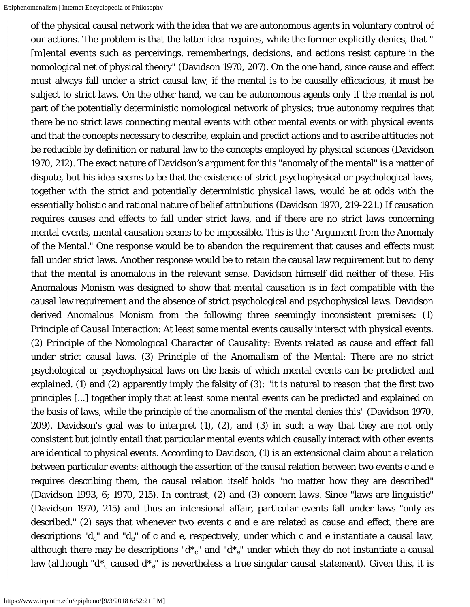of the physical causal network with the idea that we are autonomous agents in voluntary control of our actions. The problem is that the latter idea requires, while the former explicitly denies, that " [m]ental events such as perceivings, rememberings, decisions, and actions resist capture in the nomological net of physical theory" (Davidson 1970, 207). On the one hand, since cause and effect must always fall under a strict causal law, if the mental is to be causally efficacious, it must be subject to strict laws. On the other hand, we can be autonomous agents only if the mental is *not* part of the potentially deterministic nomological network of physics; true autonomy requires that there be no strict laws connecting mental events with other mental events or with physical events and that the concepts necessary to describe, explain and predict actions and to ascribe attitudes not be reducible by definition or natural law to the concepts employed by physical sciences (Davidson 1970, 212). The exact nature of Davidson's argument for this "anomaly of the mental" is a matter of dispute, but his idea seems to be that the existence of strict psychophysical or psychological laws, together with the strict and potentially deterministic physical laws, would be at odds with the essentially holistic and rational nature of belief attributions (Davidson 1970, 219-221.) If causation requires causes and effects to fall under strict laws, and if there are no strict laws concerning mental events, mental causation seems to be impossible. This is the "Argument from the Anomaly of the Mental." One response would be to abandon the requirement that causes and effects must fall under strict laws. Another response would be to retain the causal law requirement but to deny that the mental is anomalous in the relevant sense. Davidson himself did neither of these. His Anomalous Monism was designed to show that mental causation is in fact compatible with the causal law requirement *and* the absence of strict psychological and psychophysical laws. Davidson derived Anomalous Monism from the following three seemingly inconsistent premises: (1) *Principle of Causal Interaction*: At least some mental events causally interact with physical events. (2) *Principle of the Nomological Character of Causality*: Events related as cause and effect fall under strict causal laws. (3) *Principle of the Anomalism of the Mental*: There are no strict psychological or psychophysical laws on the basis of which mental events can be predicted and explained. (1) and (2) apparently imply the falsity of (3): "it is natural to reason that the first two principles [...] together imply that at least some mental events can be predicted and explained on the basis of laws, while the principle of the anomalism of the mental denies this" (Davidson 1970, 209). Davidson's goal was to interpret (1), (2), and (3) in such a way that they are not only consistent but jointly entail that particular mental events which causally interact with other events are identical to physical events. According to Davidson, (1) is an extensional claim about a *relation* between particular events: although the assertion of the causal relation between two events c and e requires describing them, the causal relation itself holds "no matter how they are described" (Davidson 1993, 6; 1970, 215). In contrast, (2) and (3) concern *laws*. Since "laws are linguistic" (Davidson 1970, 215) and thus an intensional affair, particular events fall under laws "only as described." (2) says that whenever two events *c* and *e* are related as cause and effect, there are descriptions " $d_c$ " and " $d_e$ " of  $c$  and  $e$ , respectively, under which  $c$  and  $e$  instantiate a causal law, although there may be descriptions " $d^*{}_c$ " and " $d^*{}_e$ " under which they do not instantiate a causal law (although " $d^*{}_c$  caused  $d^*{}_e$ " is nevertheless a true singular causal statement). Given this, it is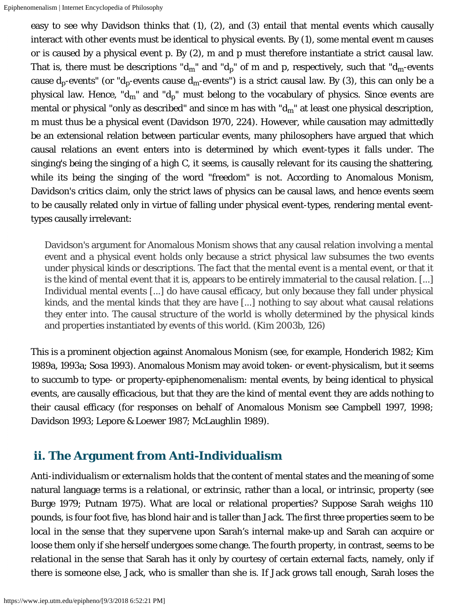easy to see why Davidson thinks that (1), (2), and (3) entail that mental events which causally interact with other events must be identical to physical events. By (1), some mental event *m* causes or is caused by a physical event *p*. By (2), *m* and *p* must therefore instantiate a strict causal law. That is, there must be descriptions " $d_m$ " and " $d_p$ " of  $m$  and  $p$ , respectively, such that " $d_m$ -events cause  $d_p$ -events" (or " $d_p$ -events cause  $d_m$ -events") is a strict causal law. By (3), this can only be a physical law. Hence, " $d_m$ " and " $d_p$ " must belong to the vocabulary of physics. Since events are mental or physical "only as described" and since  $m$  has with " $d_{m}$ " at least one physical description, *m* must thus be a physical event (Davidson 1970, 224). However, while causation may admittedly be an extensional relation between particular events, many philosophers have argued that which causal relations an event enters into is determined by which event-types it falls under. The singing's being the singing of a high C, it seems, is causally relevant for its causing the shattering, while its being the singing of the word "freedom" is not. According to Anomalous Monism, Davidson's critics claim, only the strict laws of physics can be causal laws, and hence events seem to be causally related only in virtue of falling under physical event-types, rendering mental eventtypes causally irrelevant:

Davidson's argument for Anomalous Monism shows that any causal relation involving a mental event and a physical event holds only because a strict physical law subsumes the two events under physical kinds or descriptions. The fact that the mental event is a mental event, or that it is the kind of mental event that it is, appears to be entirely immaterial to the causal relation. [...] Individual mental events [...] do have causal efficacy, but only because they fall under physical kinds, and the mental kinds that they are have [...] nothing to say about what causal relations they enter into. The causal structure of the world is wholly determined by the physical kinds and properties instantiated by events of this world. (Kim 2003b, 126)

This is a prominent objection against Anomalous Monism (see, for example, Honderich 1982; Kim 1989a, 1993a; Sosa 1993). Anomalous Monism may avoid token- or event-physicalism, but it seems to succumb to type- or property-epiphenomenalism: mental events, by being identical to physical events, are causally efficacious, but that they are the kind of mental event they are adds nothing to their causal efficacy (for responses on behalf of Anomalous Monism see Campbell 1997, 1998; Davidson 1993; Lepore & Loewer 1987; McLaughlin 1989).

#### <span id="page-7-0"></span> **ii. The Argument from Anti-Individualism**

*Anti-individualism* or *externalism* holds that the content of mental states and the meaning of some natural language terms is a *relational*, or *extrinsic*, rather than a *local*, or *intrinsic*, property (see Burge 1979; Putnam 1975). What are local or relational properties? Suppose Sarah weighs 110 pounds, is four foot five, has blond hair and is taller than Jack. The first three properties seem to be *local* in the sense that they *supervene* upon Sarah's internal make-up and Sarah can acquire or loose them only if she herself undergoes some change. The fourth property, in contrast, seems to be *relational* in the sense that Sarah has it only by courtesy of certain external facts, namely, only if there is someone else, Jack, who is smaller than she is. If Jack grows tall enough, Sarah loses the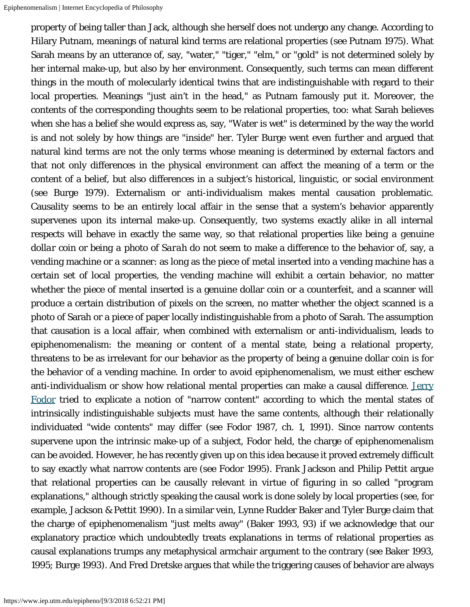property of being taller than Jack, although she herself does not undergo any change. According to Hilary Putnam, meanings of natural kind terms are relational properties (see Putnam 1975). What Sarah means by an utterance of, say, "water," "tiger," "elm," or "gold" is not determined solely by her internal make-up, but also by her environment. Consequently, such terms can mean different things in the mouth of molecularly identical twins that are indistinguishable with regard to their local properties. Meanings "just ain't in the head," as Putnam famously put it. Moreover, the contents of the corresponding thoughts seem to be relational properties, too: what Sarah believes when she has a belief she would express as, say, "Water is wet" is determined by the way the world is and not solely by how things are "inside" her. Tyler Burge went even further and argued that natural kind terms are not the only terms whose meaning is determined by external factors and that not only differences in the physical environment can affect the meaning of a term or the content of a belief, but also differences in a subject's historical, linguistic, or social environment (see Burge 1979). Externalism or anti-individualism makes mental causation problematic. Causality seems to be an entirely local affair in the sense that a system's behavior apparently supervenes upon its internal make-up. Consequently, two systems exactly alike in all internal respects will behave in exactly the same way, so that relational properties like *being a genuine dollar coin* or *being a photo of Sarah* do not seem to make a difference to the behavior of, say, a vending machine or a scanner: as long as the piece of metal inserted into a vending machine has a certain set of local properties, the vending machine will exhibit a certain behavior, no matter whether the piece of mental inserted is a genuine dollar coin or a counterfeit, and a scanner will produce a certain distribution of pixels on the screen, no matter whether the object scanned is a photo of Sarah or a piece of paper locally indistinguishable from a photo of Sarah. The assumption that causation is a local affair, when combined with externalism or anti-individualism, leads to epiphenomenalism: the meaning or content of a mental state, being a relational property, threatens to be as irrelevant for our behavior as the property of being a genuine dollar coin is for the behavior of a vending machine. In order to avoid epiphenomenalism, we must either eschew anti-individualism or show how relational mental properties can make a causal difference. [Jerry](https://www.iep.utm.edu/fodor/) [Fodor](https://www.iep.utm.edu/fodor/) tried to explicate a notion of "narrow content" according to which the mental states of intrinsically indistinguishable subjects must have the same contents, although their relationally individuated "wide contents" may differ (see Fodor 1987, ch. 1, 1991). Since narrow contents supervene upon the intrinsic make-up of a subject, Fodor held, the charge of epiphenomenalism can be avoided. However, he has recently given up on this idea because it proved extremely difficult to say exactly what narrow contents are (see Fodor 1995). Frank Jackson and Philip Pettit argue that relational properties can be causally relevant in virtue of figuring in so called "program explanations," although strictly speaking the causal work is done solely by local properties (see, for example, Jackson & Pettit 1990). In a similar vein, Lynne Rudder Baker and Tyler Burge claim that the charge of epiphenomenalism "just melts away" (Baker 1993, 93) if we acknowledge that our explanatory practice which undoubtedly treats explanations in terms of relational properties as causal explanations trumps any metaphysical armchair argument to the contrary (see Baker 1993, 1995; Burge 1993). And Fred Dretske argues that while the triggering causes of behavior are always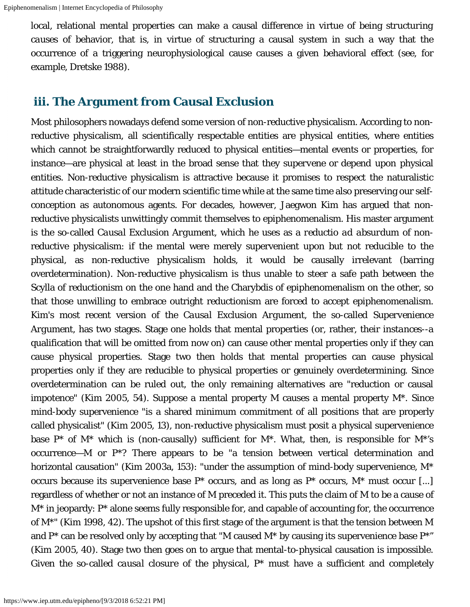local, relational mental properties can make a causal difference in virtue of being *structuring causes* of behavior, that is, in virtue of structuring a causal system in such a way that the occurrence of a triggering neurophysiological cause causes a given behavioral effect (see, for example, Dretske 1988).

#### <span id="page-9-0"></span> **iii. The Argument from Causal Exclusion**

Most philosophers nowadays defend some version of non-reductive physicalism. According to nonreductive physicalism, all scientifically respectable entities are physical entities, where entities which cannot be straightforwardly reduced to physical entities—mental events or properties, for instance—are physical at least in the broad sense that they *supervene* or *depend* upon physical entities. Non-reductive physicalism is attractive because it promises to respect the naturalistic attitude characteristic of our modern scientific time while at the same time also preserving our selfconception as autonomous agents. For decades, however, Jaegwon Kim has argued that nonreductive physicalists unwittingly commit themselves to epiphenomenalism. His master argument is the so-called *Causal Exclusion Argument*, which he uses as a *reductio ad absurdum* of nonreductive physicalism: if the mental were merely supervenient upon but not reducible to the physical, as non-reductive physicalism holds, it would be causally irrelevant (barring overdetermination). Non-reductive physicalism is thus unable to steer a safe path between the Scylla of reductionism on the one hand and the Charybdis of epiphenomenalism on the other, so that those unwilling to embrace outright reductionism are forced to accept epiphenomenalism. Kim's most recent version of the *Causal Exclusion Argument*, the so-called *Supervenience Argument*, has two stages. Stage one holds that mental properties (or, rather, their *instances*--a qualification that will be omitted from now on) can cause other mental properties only if they can cause physical properties. Stage two then holds that mental properties can cause physical properties only if they are reducible to physical properties or genuinely overdetermining. Since overdetermination can be ruled out, the only remaining alternatives are "reduction or causal impotence" (Kim 2005, 54). Suppose a mental property *M* causes a mental property *M*\*. Since mind-body supervenience "is a shared minimum commitment of all positions that are properly called physicalist" (Kim 2005, 13), non-reductive physicalism must posit a physical supervenience base *P*\* of *M*\* which is (non-causally) sufficient for *M*\*. What, then, is responsible for *M*\*'s occurrence—*M* or *P*\*? There appears to be "a tension between vertical determination and horizontal causation" (Kim 2003a, 153): "under the assumption of mind-body supervenience, *M*\* occurs because its supervenience base  $P^*$  occurs, and as long as  $P^*$  occurs,  $M^*$  must occur [...] regardless of whether or not an instance of *M* preceded it. This puts the claim of *M* to be a cause of *M*\* in jeopardy: *P*\* alone seems fully responsible for, and capable of accounting for, the occurrence of *M*\*" (Kim 1998, 42). The upshot of this first stage of the argument is that the tension between *M* and *P*\* can be resolved only by accepting that "*M* caused *M*\* by causing its supervenience base *P*\*" (Kim 2005, 40). Stage two then goes on to argue that mental-to-physical causation is impossible. Given the so-called *causal closure of the physical*, *P*\* must have a sufficient and completely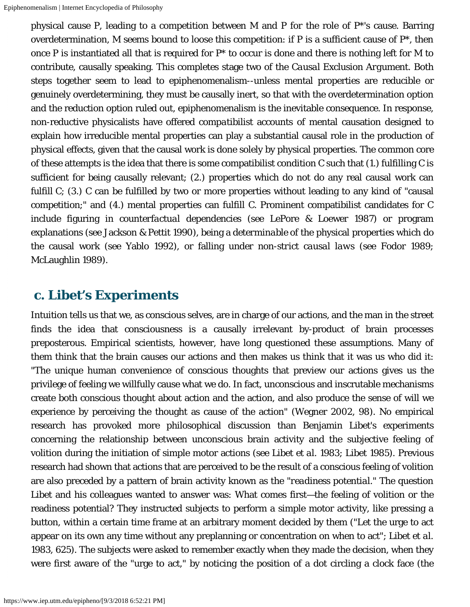physical cause *P*, leading to a competition between *M* and *P* for the role of P\*'s cause. Barring overdetermination, *M* seems bound to loose this competition: if *P* is a sufficient cause of *P*\*, then once *P* is instantiated all that is required for *P*\* to occur is done and there is nothing left for *M* to contribute, causally speaking. This completes stage two of the *Causal Exclusion Argument*. Both steps together seem to lead to epiphenomenalism--unless mental properties are reducible or genuinely overdetermining, they must be causally inert, so that with the overdetermination option and the reduction option ruled out, epiphenomenalism is the inevitable consequence. In response, non-reductive physicalists have offered *compatibilist* accounts of mental causation designed to explain how irreducible mental properties can play a substantial causal role in the production of physical effects, given that the causal work is done solely by physical properties. The common core of these attempts is the idea that there is some compatibilist condition *C* such that (1.) fulfilling *C* is sufficient for being causally relevant; (2.) properties which do not do any real causal work can fulfill *C*; (3.) *C* can be fulfilled by two or more properties without leading to any kind of "causal competition;" and (4.) mental properties can fulfill *C*. Prominent compatibilist candidates for *C* include figuring in *counterfactual dependencies* (see LePore & Loewer 1987) or program explanations (see Jackson & Pettit 1990), being a *determinable* of the physical properties which do the causal work (see Yablo 1992), or falling under *non-strict causal laws* (see Fodor 1989; McLaughlin 1989).

#### <span id="page-10-0"></span> **c. Libet's Experiments**

Intuition tells us that we, as conscious selves, are in charge of our actions, and the man in the street finds the idea that consciousness is a causally irrelevant by-product of brain processes preposterous. Empirical scientists, however, have long questioned these assumptions. Many of them think that the brain causes our actions and then makes us think that it was us who did it: "The unique human convenience of conscious thoughts that preview our actions gives us the privilege of feeling we willfully cause what we do. In fact, unconscious and inscrutable mechanisms create both conscious thought about action and the action, and also produce the sense of will we experience by perceiving the thought as cause of the action" (Wegner 2002, 98). No empirical research has provoked more philosophical discussion than Benjamin Libet's experiments concerning the relationship between unconscious brain activity and the subjective feeling of volition during the initiation of simple motor actions (see Libet *et al*. 1983; Libet 1985). Previous research had shown that actions that are perceived to be the result of a conscious feeling of volition are also preceded by a pattern of brain activity known as the "*readiness potential*." The question Libet and his colleagues wanted to answer was: What comes first—the feeling of volition or the readiness potential? They instructed subjects to perform a simple motor activity, like pressing a button, within a certain time frame at an arbitrary moment decided by them ("Let the urge to act appear on its own any time without any preplanning or concentration on when to act"; Libet *et al*. 1983, 625). The subjects were asked to remember exactly when they made the decision, when they were first aware of the "urge to act," by noticing the position of a dot circling a clock face (the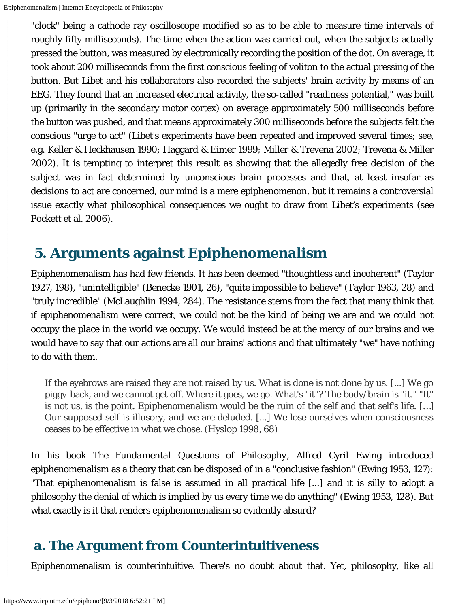"clock" being a cathode ray oscilloscope modified so as to be able to measure time intervals of roughly fifty milliseconds). The time when the action was carried out, when the subjects actually pressed the button, was measured by electronically recording the position of the dot. On average, it took about 200 milliseconds from the first conscious feeling of voliton to the actual pressing of the button. But Libet and his collaborators also recorded the subjects' brain activity by means of an EEG. They found that an increased electrical activity, the so-called "readiness potential," was built up (primarily in the secondary motor cortex) on average approximately 500 milliseconds before the button was pushed, and that means approximately 300 milliseconds *before* the subjects felt the conscious "urge to act" (Libet's experiments have been repeated and improved several times; see, e.g. Keller & Heckhausen 1990; Haggard & Eimer 1999; Miller & Trevena 2002; Trevena & Miller 2002). It is tempting to interpret this result as showing that the allegedly free decision of the subject was in fact determined by unconscious brain processes and that, at least insofar as decisions to act are concerned, our mind is a mere epiphenomenon, but it remains a controversial issue exactly what philosophical consequences we ought to draw from Libet's experiments (see Pockett et al. 2006).

# <span id="page-11-0"></span> **5. Arguments against Epiphenomenalism**

Epiphenomenalism has had few friends. It has been deemed "thoughtless and incoherent" (Taylor 1927, 198), "unintelligible" (Benecke 1901, 26), "quite impossible to believe" (Taylor 1963, 28) and "truly incredible" (McLaughlin 1994, 284). The resistance stems from the fact that many think that if epiphenomenalism were correct, we could not be the kind of being we are and we could not occupy the place in the world we occupy. We would instead be at the mercy of our brains and we would have to say that our actions are all our brains' actions and that ultimately "we" have nothing to do with them.

If the eyebrows are raised they are not raised by us. What is done is not done by us. [...] We go piggy-back, and we cannot get off. Where it goes, we go. What's "it"? The body/brain is "it." "It" is not us, is the point. Epiphenomenalism would be the ruin of the self and that self's life. […] Our supposed self is illusory, and we are deluded. [...] We lose ourselves when consciousness ceases to be effective in what we chose. (Hyslop 1998, 68)

In his book *The Fundamental Questions of Philosophy*, Alfred Cyril Ewing introduced epiphenomenalism as a theory that can be disposed of in a "conclusive fashion" (Ewing 1953, 127): "That epiphenomenalism is false is assumed in all practical life [...] and it is silly to adopt a philosophy the denial of which is implied by us every time we do anything" (Ewing 1953, 128). But what exactly is it that renders epiphenomenalism so evidently absurd?

## <span id="page-11-1"></span> **a. The Argument from Counterintuitiveness**

Epiphenomenalism is counterintuitive. There's no doubt about that. Yet, philosophy, like all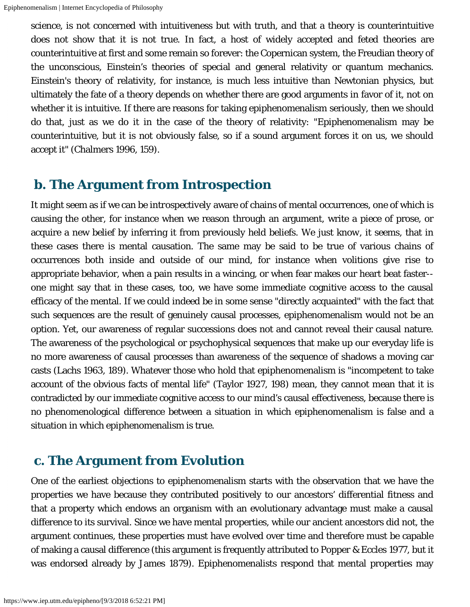science, is not concerned with intuitiveness but with truth, and that a theory is counterintuitive does not show that it is not true. In fact, a host of widely accepted and feted theories are counterintuitive at first and some remain so forever: the Copernican system, the Freudian theory of the unconscious, Einstein's theories of special and general relativity or quantum mechanics. Einstein's theory of relativity, for instance, is much less intuitive than Newtonian physics, but ultimately the fate of a theory depends on whether there are good arguments in favor of it, not on whether it is intuitive. If there are reasons for taking epiphenomenalism seriously, then we should do that, just as we do it in the case of the theory of relativity: "Epiphenomenalism may be counterintuitive, but it is not obviously false, so if a sound argument forces it on us, we should accept it" (Chalmers 1996, 159).

#### <span id="page-12-0"></span> **b. The Argument from Introspection**

It might seem as if we can be *introspectively* aware of chains of mental occurrences, one of which is causing the other, for instance when we reason through an argument, write a piece of prose, or acquire a new belief by inferring it from previously held beliefs. We just *know*, it seems, that in these cases there is mental causation. The same may be said to be true of various chains of occurrences both inside and outside of our mind, for instance when volitions give rise to appropriate behavior, when a pain results in a wincing, or when fear makes our heart beat faster- one might say that in these cases, too, we have some immediate cognitive access to the causal efficacy of the mental. If we could indeed be in some sense "directly acquainted" with the fact that such sequences are the result of genuinely causal processes, epiphenomenalism would not be an option. Yet, our awareness of regular successions does not and cannot reveal their causal nature. The awareness of the psychological or psychophysical sequences that make up our everyday life is no more awareness of causal processes than awareness of the sequence of shadows a moving car casts (Lachs 1963, 189). Whatever those who hold that epiphenomenalism is "incompetent to take account of the obvious facts of mental life" (Taylor 1927, 198) mean, they cannot mean that it is contradicted by our immediate cognitive access to our mind's causal effectiveness, because there is no phenomenological difference between a situation in which epiphenomenalism is false and a situation in which epiphenomenalism is true.

#### <span id="page-12-1"></span> **c. The Argument from Evolution**

One of the earliest objections to epiphenomenalism starts with the observation that we have the properties we have because they contributed positively to our ancestors' differential fitness and that a property which endows an organism with an evolutionary advantage must make a causal difference to its survival. Since we have mental properties, while our ancient ancestors did not, the argument continues, these properties must have evolved over time and therefore must be capable of making a causal difference (this argument is frequently attributed to Popper & Eccles 1977, but it was endorsed already by James 1879). Epiphenomenalists respond that mental properties may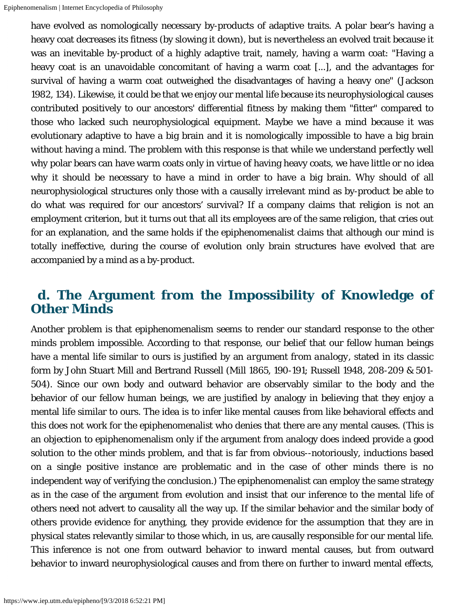have evolved as nomologically necessary by-products of adaptive traits. A polar bear's having a heavy coat decreases its fitness (by slowing it down), but is nevertheless an evolved trait because it was an inevitable by-product of a highly adaptive trait, namely, having a warm coat: "Having a heavy coat is an unavoidable concomitant of having a warm coat [...], and the advantages for survival of having a warm coat outweighed the disadvantages of having a heavy one" (Jackson 1982, 134). Likewise, it could be that we enjoy our mental life because its neurophysiological causes contributed positively to our ancestors' differential fitness by making them "fitter" compared to those who lacked such neurophysiological equipment. Maybe we have a mind because it was evolutionary adaptive to have a big brain and it is nomologically impossible to have a big brain without having a mind. The problem with this response is that while we understand perfectly well why polar bears can have warm coats only in virtue of having heavy coats, we have little or no idea why it should be necessary to have a mind in order to have a big brain. Why should of all neurophysiological structures only those with a causally irrelevant mind as by-product be able to do what was required for our ancestors' survival? If a company claims that religion is not an employment criterion, but it turns out that all its employees are of the same religion, that cries out for an explanation, and the same holds if the epiphenomenalist claims that although our mind is totally ineffective, during the course of evolution only brain structures have evolved that are accompanied by a mind as a by-product.

#### <span id="page-13-0"></span> **d. The Argument from the Impossibility of Knowledge of Other Minds**

Another problem is that epiphenomenalism seems to render our standard response to the other minds problem impossible. According to that response, our belief that our fellow human beings have a mental life similar to ours is justified by an *argument from analogy*, stated in its classic form by John Stuart Mill and Bertrand Russell (Mill 1865, 190-191; Russell 1948, 208-209 & 501- 504). Since our own body and outward behavior are observably similar to the body and the behavior of our fellow human beings, we are justified by analogy in believing that they enjoy a mental life similar to ours. The idea is to infer like mental causes from like behavioral effects and this does not work for the epiphenomenalist who denies that there are any mental causes. (This is an objection to epiphenomenalism only if the argument from analogy does indeed provide a good solution to the other minds problem, and that is far from obvious--notoriously, inductions based on a single positive instance are problematic and in the case of other minds there is no independent way of verifying the conclusion.) The epiphenomenalist can employ the same strategy as in the case of the argument from evolution and insist that our inference to the mental life of others need not advert to causality all the way up. If the similar behavior and the similar body of others provide evidence for anything, they provide evidence for the assumption that they are in physical states relevantly similar to those which, in us, are causally responsible for our mental life. This inference is not one from outward behavior to inward mental causes, but from outward behavior to inward neurophysiological causes and from there on further to inward mental effects,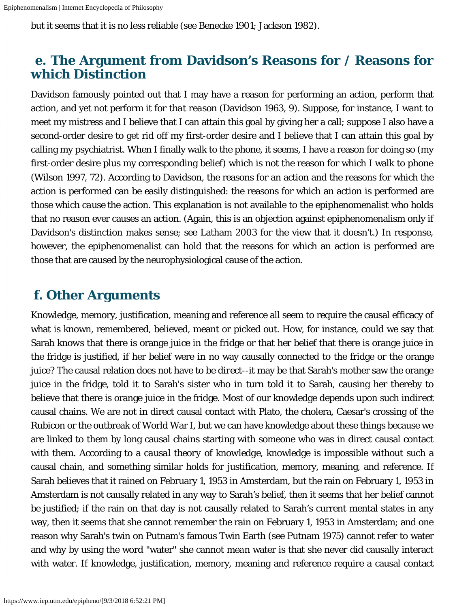but it seems that it is no less reliable (see Benecke 1901; Jackson 1982).

### <span id="page-14-0"></span> **e. The Argument from Davidson's Reasons for / Reasons for which Distinction**

Davidson famously pointed out that I may have a reason for performing an action, perform that action, and yet not perform it *for that reason* (Davidson 1963, 9). Suppose, for instance, I want to meet my mistress and I believe that I can attain this goal by giving her a call; suppose I also have a second-order desire to get rid off my first-order desire and I believe that I can attain this goal by calling my psychiatrist. When I finally walk to the phone, it seems, I have a reason for doing so (my first-order desire plus my corresponding belief) which is not the reason for which I walk to phone (Wilson 1997, 72). According to Davidson, the reasons for an action and the reasons for which the action is performed can be easily distinguished: the reasons for which an action is performed are those which *cause* the action. This explanation is not available to the epiphenomenalist who holds that no reason ever causes an action. (Again, this is an objection against epiphenomenalism only if Davidson's distinction makes sense; see Latham 2003 for the view that it doesn't.) In response, however, the epiphenomenalist can hold that the reasons for which an action is performed are those that are caused by the neurophysiological cause of the action.

### <span id="page-14-1"></span> **f. Other Arguments**

Knowledge, memory, justification, meaning and reference all seem to require the causal efficacy of what is known, remembered, believed, meant or picked out. How, for instance, could we say that Sarah *knows* that there is orange juice in the fridge or that her belief that there is orange juice in the fridge is *justified*, if her belief were in no way causally connected to the fridge or the orange juice? The causal relation does not have to be *direct*--it may be that Sarah's mother saw the orange juice in the fridge, told it to Sarah's sister who in turn told it to Sarah, causing her thereby to believe that there is orange juice in the fridge. Most of our knowledge depends upon such *indirect* causal chains. We are not in direct causal contact with Plato, the cholera, Caesar's crossing of the Rubicon or the outbreak of World War I, but we can have knowledge about these things because we are linked to them by long causal chains starting with someone who was in direct causal contact with them. According to a *causal theory of knowledge*, knowledge is impossible without such a causal chain, and something similar holds for justification, memory, meaning, and reference. If Sarah believes that it rained on February 1, 1953 in Amsterdam, but the rain on February 1, 1953 in Amsterdam is not causally related in any way to Sarah's belief, then it seems that her belief cannot be *justified*; if the rain on that day is not causally related to Sarah's current mental states in any way, then it seems that she cannot *remember* the rain on February 1, 1953 in Amsterdam; and one reason why Sarah's twin on Putnam's famous Twin Earth (see Putnam 1975) cannot *refer* to water and why by using the word "water" she cannot *mean* water is that she never did causally interact with water. If knowledge, justification, memory, meaning and reference require a causal contact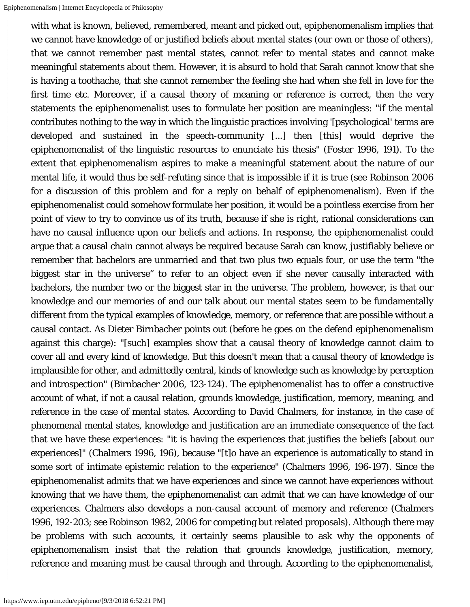with what is known, believed, remembered, meant and picked out, epiphenomenalism implies that we cannot have knowledge of or justified beliefs about mental states (our own or those of others), that we cannot remember past mental states, cannot refer to mental states and cannot make meaningful statements about them. However, it is absurd to hold that Sarah cannot know that she is having a toothache, that she cannot remember the feeling she had when she fell in love for the first time etc. Moreover, if a causal theory of meaning or reference is correct, then the very statements the epiphenomenalist uses to formulate her position are meaningless: "if the mental contributes nothing to the way in which the linguistic practices involving '[psychological' terms are developed and sustained in the speech-community [...] then [this] would deprive the epiphenomenalist of the linguistic resources to enunciate his thesis" (Foster 1996, 191). To the extent that epiphenomenalism aspires to make a meaningful statement about the nature of our mental life, it would thus be *self-refuting* since that is impossible if it is true (see Robinson 2006 for a discussion of this problem and for a reply on behalf of epiphenomenalism). Even if the epiphenomenalist could somehow formulate her position, it would be a pointless exercise from her point of view to try to convince us of its truth, because if she is right, rational considerations can have no causal influence upon our beliefs and actions. In response, the epiphenomenalist could argue that a causal chain cannot always be required because Sarah can know, justifiably believe or remember that bachelors are unmarried and that two plus two equals four, or use the term "the biggest star in the universe" to refer to an object even if she never causally interacted with bachelors, the number two or the biggest star in the universe. The problem, however, is that our knowledge and our memories of and our talk about our mental states seem to be fundamentally different from the typical examples of knowledge, memory, or reference that are possible without a causal contact. As Dieter Birnbacher points out (before he goes on the defend epiphenomenalism against this charge): "[such] examples show that a causal theory of knowledge cannot claim to cover all and every kind of knowledge. But this doesn't mean that a causal theory of knowledge is implausible for other, and admittedly central, kinds of knowledge such as knowledge by perception and introspection" (Birnbacher 2006, 123-124). The epiphenomenalist has to offer a constructive account of what, if not a causal relation, grounds knowledge, justification, memory, meaning, and reference in the case of mental states. According to David Chalmers, for instance, in the case of phenomenal mental states, knowledge and justification are an immediate consequence of the fact that *we have these experiences*: "it is having the experiences that justifies the beliefs [about our experiences]" (Chalmers 1996, 196), because "[t]o have an experience is automatically to stand in some sort of intimate epistemic relation to the experience" (Chalmers 1996, 196-197). Since the epiphenomenalist admits that we have experiences and since we cannot have experiences without knowing that we have them, the epiphenomenalist can admit that we can have knowledge of our experiences. Chalmers also develops a non-causal account of memory and reference (Chalmers 1996, 192-203; see Robinson 1982, 2006 for competing but related proposals). Although there may be problems with such accounts, it certainly seems plausible to ask why the opponents of epiphenomenalism insist that the relation that grounds knowledge, justification, memory, reference and meaning must be causal through and through. According to the epiphenomenalist,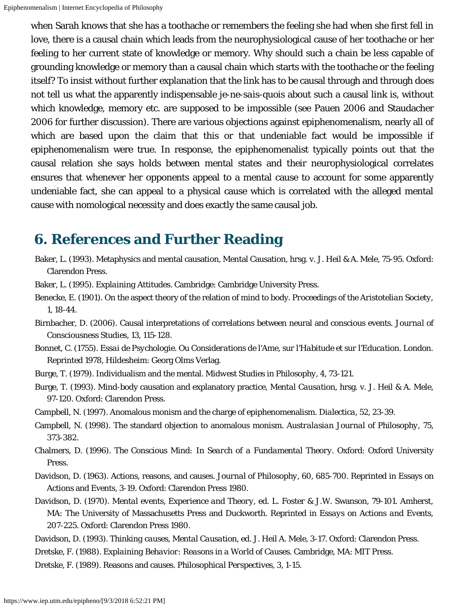when Sarah knows that she has a toothache or remembers the feeling she had when she first fell in love, there is a causal chain which leads from the neurophysiological cause of her toothache or her feeling to her current state of knowledge or memory. Why should such a chain be less capable of grounding knowledge or memory than a causal chain which starts with the toothache or the feeling itself? To insist without further explanation that the link has to be causal through and through does not tell us what the apparently indispensable *je-ne-sais-quois* about such a causal link is, without which knowledge, memory etc. are supposed to be impossible (see Pauen 2006 and Staudacher 2006 for further discussion). There are various objections against epiphenomenalism, nearly all of which are based upon the claim that this or that undeniable fact would be impossible if epiphenomenalism were true. In response, the epiphenomenalist typically points out that the causal relation she says holds between mental states and their neurophysiological correlates ensures that whenever her opponents appeal to a mental cause to account for some apparently undeniable fact, she can appeal to a physical cause which is correlated with the alleged mental cause with nomological necessity and does exactly the same causal job.

# <span id="page-16-0"></span> **6. References and Further Reading**

- Baker, L. (1993). Metaphysics and mental causation, Mental Causation, hrsg. v. J. Heil & A. Mele, 75-95. Oxford: Clarendon Press.
- Baker, L. (1995). *Explaining Attitudes*. Cambridge: Cambridge University Press.
- Benecke, E. (1901). On the aspect theory of the relation of mind to body. *Proceedings of the Aristotelian Society*, 1, 18-44.
- Birnbacher, D. (2006). Causal interpretations of correlations between neural and conscious events. *Journal of Consciousness Studies*, 13, 115-128.
- Bonnet, C. (1755). *Essai de Psychologie. Ou Considerations de l'Ame, sur l'Habitude et sur l'Education.* London. Reprinted 1978, Hildesheim: Georg Olms Verlag.
- Burge, T. (1979). Individualism and the mental. *Midwest Studies in Philosophy*, 4, 73-121.
- Burge, T. (1993). Mind-body causation and explanatory practice, *Mental Causation*, hrsg. v. J. Heil & A. Mele, 97-120. Oxford: Clarendon Press.
- Campbell, N. (1997). Anomalous monism and the charge of epiphenomenalism. *Dialectica*, 52, 23-39.
- Campbell, N. (1998). The standard objection to anomalous monism. *Australasian Journal of Philosophy*, 75, 373-382.
- Chalmers, D. (1996). *The Conscious Mind: In Search of a Fundamental Theory*. Oxford: Oxford University Press.
- Davidson, D. (1963). Actions, reasons, and causes. *Journal of Philosophy*, 60, 685-700. Reprinted in Essays on Actions and Events, 3-19. Oxford: Clarendon Press 1980.
- Davidson, D. (1970). *Mental events, Experience and Theory*, ed. L. Foster & J.W. Swanson, 79-101. Amherst, MA: The University of Massachusetts Press and Duckworth. Reprinted in *Essays on Actions and Events*, 207-225. Oxford: Clarendon Press 1980.
- Davidson, D. (1993). *Thinking causes, Mental Causation*, ed. J. Heil A. Mele, 3-17. Oxford: Clarendon Press.
- Dretske, F. (1988). *Explaining Behavior: Reasons in a World of Causes*. Cambridge, MA: MIT Press.

Dretske, F. (1989). Reasons and causes. *Philosophical Perspectives*, 3, 1-15.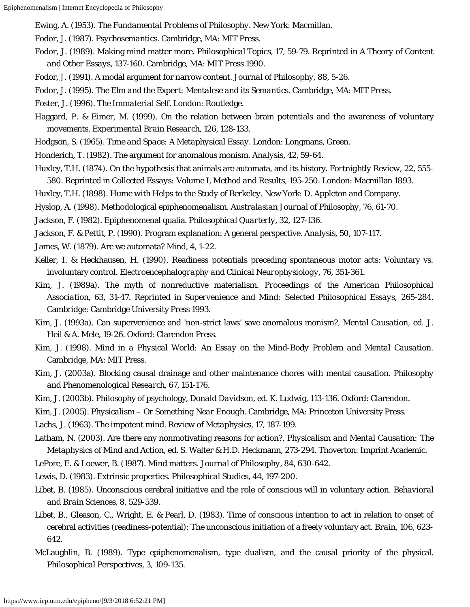Ewing, A. (1953). *The Fundamental Problems of Philosophy*. New York: Macmillan.

- Fodor, J. (1987). *Psychosemantics*. Cambridge, MA: MIT Press.
- Fodor, J. (1989). Making mind matter more. *Philosophical Topics*, 17, 59-79. Reprinted in *A Theory of Content and Other Essays*, 137-160. Cambridge, MA: MIT Press 1990.
- Fodor, J. (1991). A modal argument for narrow content. *Journal of Philosophy*, 88, 5-26.
- Fodor, J. (1995). *The Elm and the Expert: Mentalese and its Semantics*. Cambridge, MA: MIT Press.
- Foster, J. (1996). *The Immaterial Self*. London: Routledge.
- Haggard, P. & Eimer, M. (1999). On the relation between brain potentials and the awareness of voluntary movements. *Experimental Brain Research*, 126, 128-133.
- Hodgson, S. (1965). *Time and Space: A Metaphysical Essay*. London: Longmans, Green.
- Honderich, T. (1982). The argument for anomalous monism. *Analysis*, 42, 59-64.
- Huxley, T.H. (1874). On the hypothesis that animals are automata, and its history. *Fortnightly Review*, 22, 555- 580. Reprinted in *Collected Essays: Volume I, Method and Results*, 195-250. London: Macmillan 1893.
- Huxley, T.H. (1898). *Hume with Helps to the Study of Berkeley*. New York: D. Appleton and Company.
- Hyslop, A. (1998). Methodological epiphenomenalism. *Australasian Journal of Philosophy*, 76, 61-70.
- Jackson, F. (1982). Epiphenomenal qualia. *Philosophical Quarterly*, 32, 127-136.
- Jackson, F. & Pettit, P. (1990). Program explanation: A general perspective. *Analysis*, 50, 107-117.
- James, W. (1879). Are we automata? *Mind*, 4, 1-22.
- Keller, I. & Heckhausen, H. (1990). Readiness potentials preceding spontaneous motor acts: Voluntary vs. involuntary control. *Electroencephalography and Clinical Neurophysiology*, 76, 351-361.
- Kim, J. (1989a). The myth of nonreductive materialism. *Proceedings of the American Philosophical Association*, 63, 31-47. Reprinted in *Supervenience and Mind: Selected Philosophical Essays*, 265-284. Cambridge: Cambridge University Press 1993.
- Kim, J. (1993a). Can supervenience and 'non-strict laws' save anomalous monism?, *Mental Causation*, ed. J. Heil & A. Mele, 19-26. Oxford: Clarendon Press.
- Kim, J. (1998). *Mind in a Physical World: An Essay on the Mind-Body Problem and Mental Causation*. Cambridge, MA: MIT Press.
- Kim, J. (2003a). Blocking causal drainage and other maintenance chores with mental causation. *Philosophy and Phenomenological Research*, 67, 151-176.
- Kim, J. (2003b). Philosophy of psychology, *Donald Davidson*, ed. K. Ludwig, 113-136. Oxford: Clarendon.
- Kim, J. (2005). *Physicalism Or Something Near Enough*. Cambridge, MA: Princeton University Press.
- Lachs, J. (1963). The impotent mind. *Review of Metaphysics*, 17, 187-199.
- Latham, N. (2003). Are there any nonmotivating reasons for action?, *Physicalism and Mental Causation: The Metaphysics of Mind and Action*, ed. S. Walter & H.D. Heckmann, 273-294. Thoverton: Imprint Academic.
- LePore, E. & Loewer, B. (1987). Mind matters. *Journal of Philosophy*, 84, 630-642.
- Lewis, D. (1983). Extrinsic properties. *Philosophical Studies*, 44, 197-200.
- Libet, B. (1985). Unconscious cerebral initiative and the role of conscious will in voluntary action. *Behavioral and Brain Sciences*, 8, 529-539.
- Libet, B., Gleason, C., Wright, E. & Pearl, D. (1983). Time of conscious intention to act in relation to onset of cerebral activities (readiness-potential): The unconscious initiation of a freely voluntary act. *Brain*, 106, 623- 642.
- McLaughlin, B. (1989). Type epiphenomenalism, type dualism, and the causal priority of the physical. *Philosophical Perspectives*, 3, 109-135.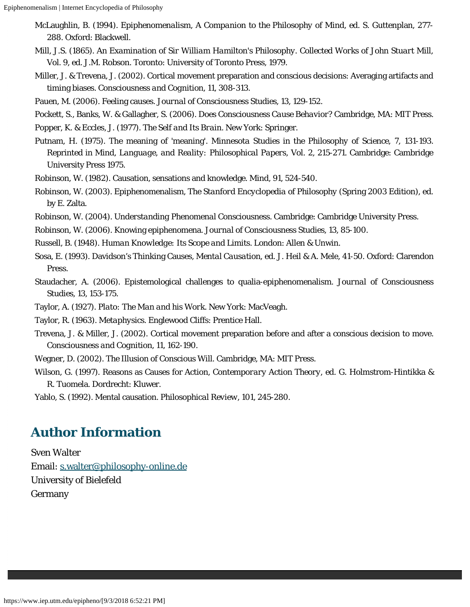- McLaughlin, B. (1994). *Epiphenomenalism, A Companion to the Philosophy of Mind*, ed. S. Guttenplan, 277- 288. Oxford: Blackwell.
- Mill, J.S. (1865). *An Examination of Sir William Hamilton's Philosophy*. *Collected Works of John Stuart Mill*, Vol. 9, ed. J.M. Robson. Toronto: University of Toronto Press, 1979.
- Miller, J. & Trevena, J. (2002). Cortical movement preparation and conscious decisions: Averaging artifacts and timing biases. *Consciousness and Cognition*, 11, 308-313.
- Pauen, M. (2006). Feeling causes. *Journal of Consciousness Studies*, 13, 129-152.
- Pockett, S., Banks, W. & Gallagher, S. (2006). *Does Consciousness Cause Behavior?* Cambridge, MA: MIT Press.

Popper, K. & Eccles, J. (1977). *The Self and Its Brain*. New York: Springer.

- Putnam, H. (1975). The meaning of 'meaning'. *Minnesota Studies in the Philosophy of Science*, 7, 131-193. Reprinted in *Mind, Language, and Reality: Philosophical Papers, Vol. 2*, 215-271. Cambridge: Cambridge University Press 1975.
- Robinson, W. (1982). Causation, sensations and knowledge. *Mind*, 91, 524-540.
- Robinson, W. (2003). Epiphenomenalism, *The Stanford Encyclopedia of Philosophy* (Spring 2003 Edition), ed. by E. Zalta.
- Robinson, W. (2004). *Understanding Phenomenal Consciousness*. Cambridge: Cambridge University Press.
- Robinson, W. (2006). Knowing epiphenomena. *Journal of Consciousness Studies*, 13, 85-100.
- Russell, B. (1948). *Human Knowledge: Its Scope and Limits*. London: Allen & Unwin.
- Sosa, E. (1993). Davidson's Thinking Causes, *Mental Causation*, ed. J. Heil & A. Mele, 41-50. Oxford: Clarendon Press.
- Staudacher, A. (2006). Epistemological challenges to qualia-epiphenomenalism. *Journal of Consciousness Studies*, 13, 153-175.
- Taylor, A. (1927). *Plato: The Man and his Work*. New York: MacVeagh.
- Taylor, R. (1963). *Metaphysics*. Englewood Cliffs: Prentice Hall.
- Trevena, J. & Miller, J. (2002). Cortical movement preparation before and after a conscious decision to move. *Consciousness and Cognition*, 11, 162-190.
- Wegner, D. (2002). *The Illusion of Conscious Will*. Cambridge, MA: MIT Press.
- Wilson, G. (1997). Reasons as Causes for Action, *Contemporary Action Theory*, ed. G. Holmstrom-Hintikka & R. Tuomela. Dordrecht: Kluwer.

Yablo, S. (1992). Mental causation. *Philosophical Review*, 101, 245-280.

### **Author Information**

Sven Walter Email: [s.walter@philosophy-online.de](mailto:s.walter@philosophy-online.de) University of Bielefeld Germany